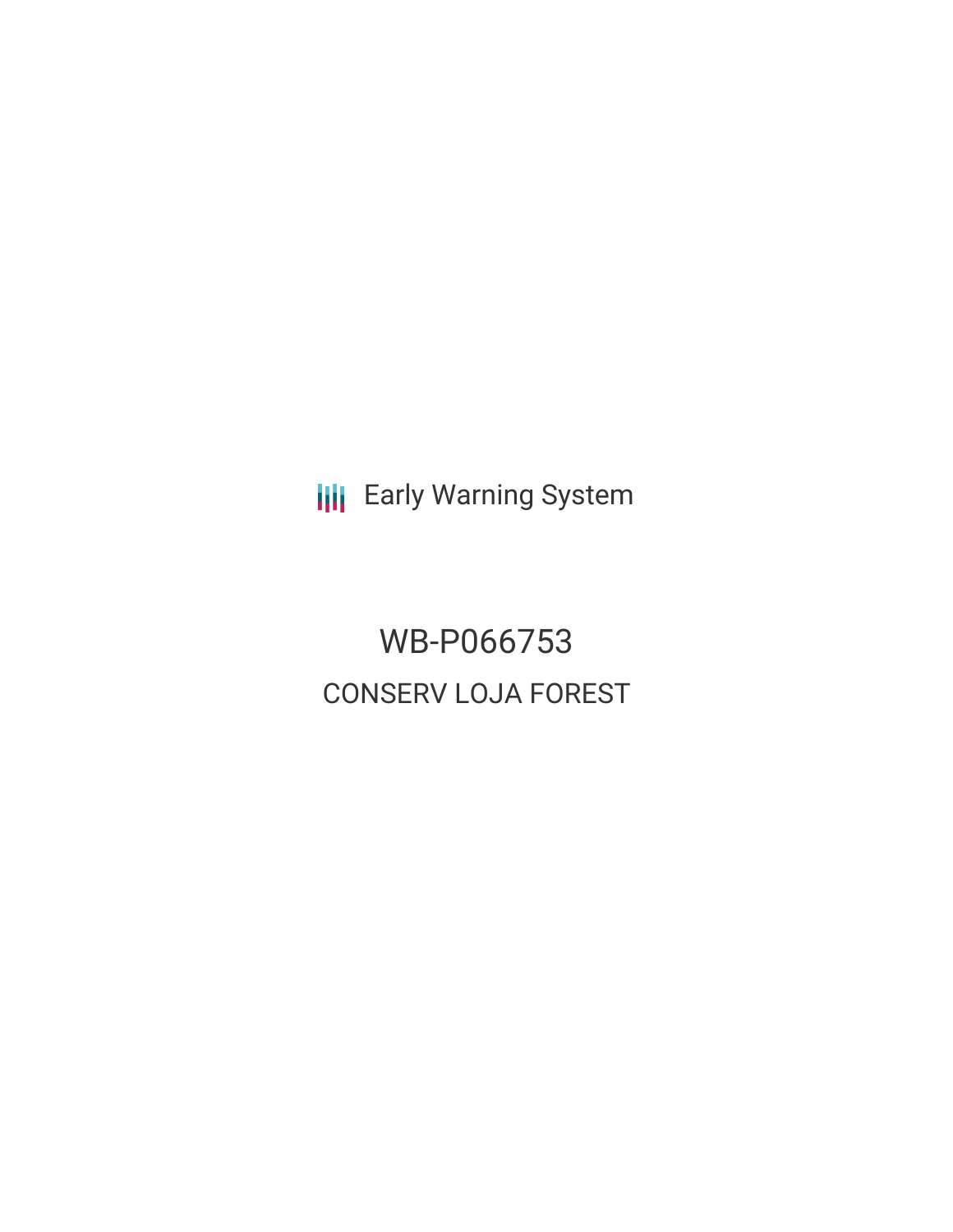**III** Early Warning System

WB-P066753 CONSERV LOJA FOREST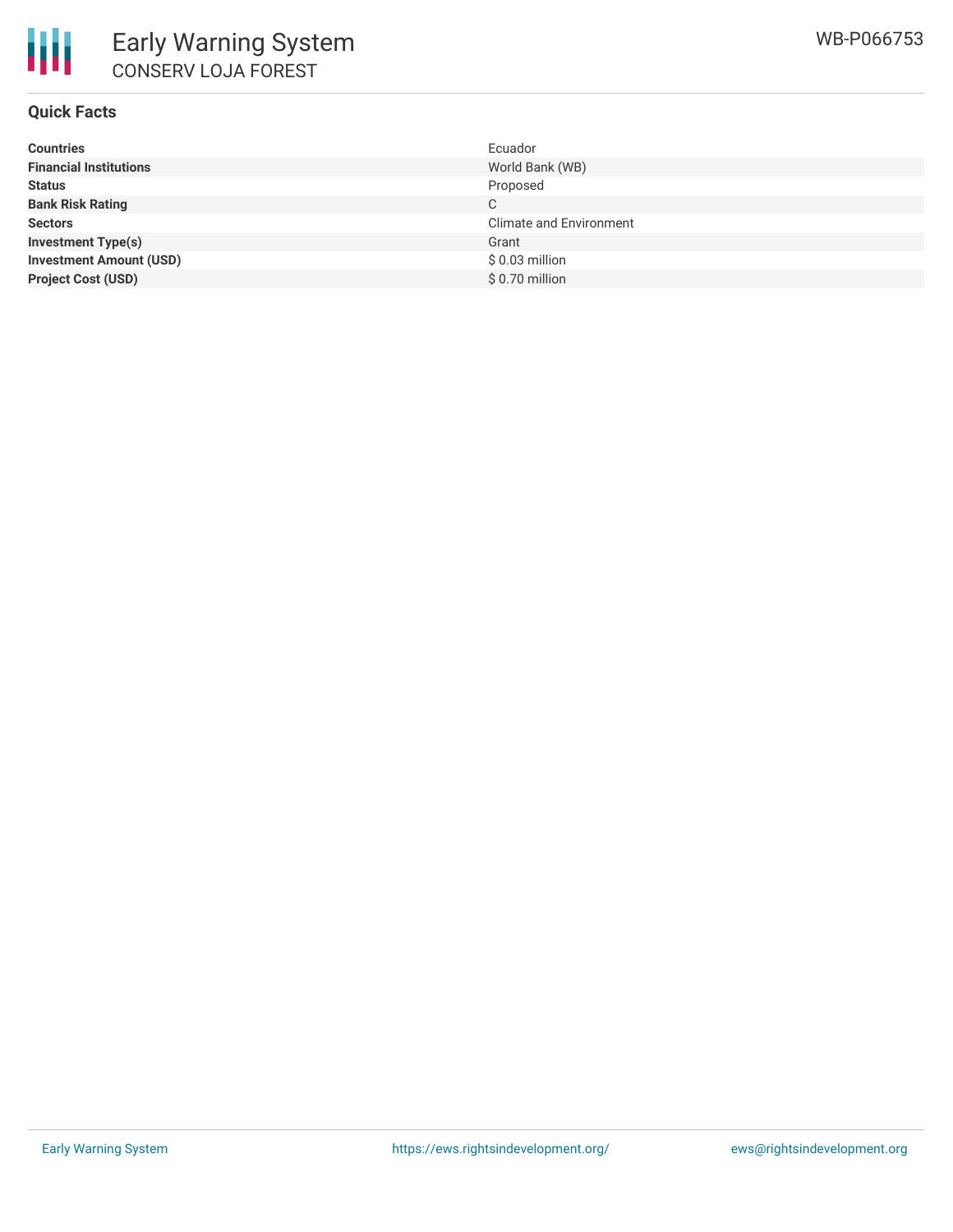

## **Quick Facts**

| <b>Countries</b>               | Ecuador                        |
|--------------------------------|--------------------------------|
| <b>Financial Institutions</b>  | World Bank (WB)                |
| <b>Status</b>                  | Proposed                       |
| <b>Bank Risk Rating</b>        | C                              |
| <b>Sectors</b>                 | <b>Climate and Environment</b> |
| <b>Investment Type(s)</b>      | Grant                          |
| <b>Investment Amount (USD)</b> | $$0.03$ million                |
| <b>Project Cost (USD)</b>      | \$0.70 million                 |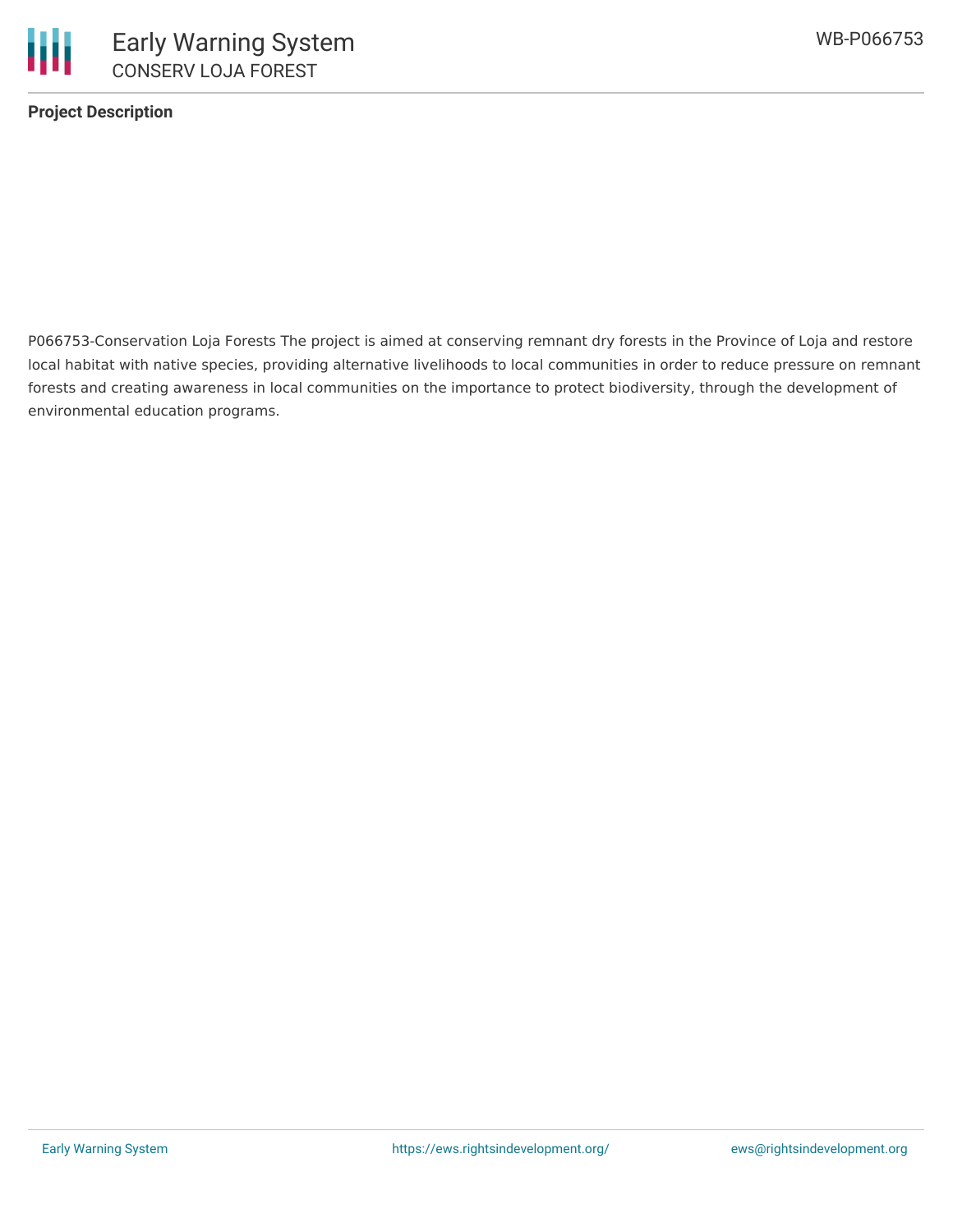

### **Project Description**

P066753-Conservation Loja Forests The project is aimed at conserving remnant dry forests in the Province of Loja and restore local habitat with native species, providing alternative livelihoods to local communities in order to reduce pressure on remnant forests and creating awareness in local communities on the importance to protect biodiversity, through the development of environmental education programs.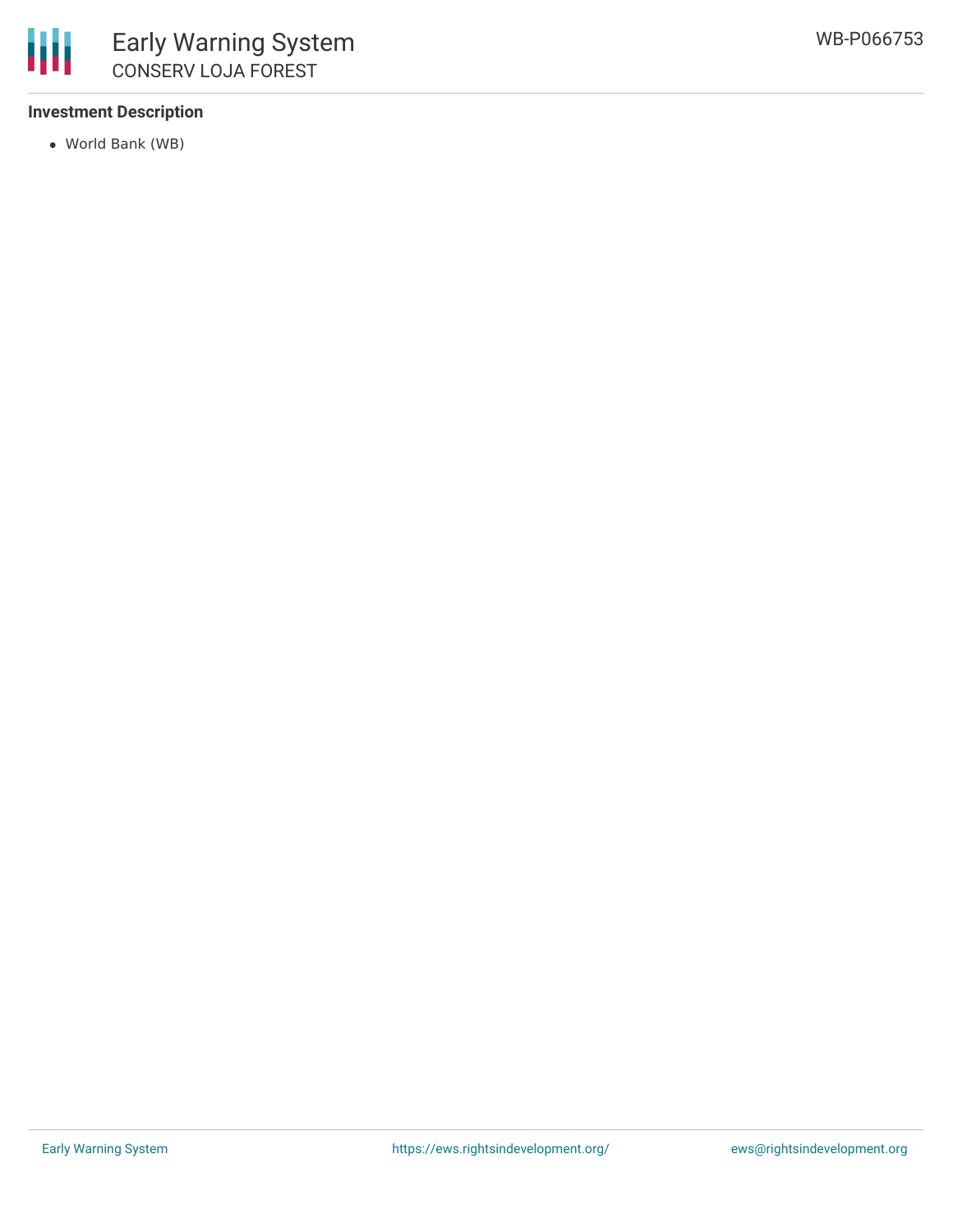

# **Investment Description**

World Bank (WB)